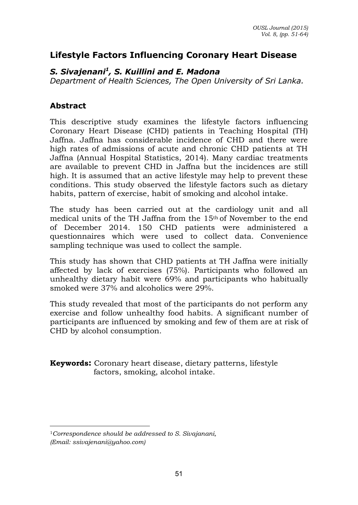# **Lifestyle Factors Influencing Coronary Heart Disease**

## *S. Sivajenani<sup>1</sup> , S. Kuillini and E. Madona*

*Department of Health Sciences, The Open University of Sri Lanka.*

## **Abstract**

 $\overline{a}$ 

This descriptive study examines the lifestyle factors influencing Coronary Heart Disease (CHD) patients in Teaching Hospital (TH) Jaffna. Jaffna has considerable incidence of CHD and there were high rates of admissions of acute and chronic CHD patients at TH Jaffna (Annual Hospital Statistics, 2014). Many cardiac treatments are available to prevent CHD in Jaffna but the incidences are still high. It is assumed that an active lifestyle may help to prevent these conditions. This study observed the lifestyle factors such as dietary habits, pattern of exercise, habit of smoking and alcohol intake.

The study has been carried out at the cardiology unit and all medical units of the TH Jaffna from the 15th of November to the end of December 2014. 150 CHD patients were administered a questionnaires which were used to collect data. Convenience sampling technique was used to collect the sample.

This study has shown that CHD patients at TH Jaffna were initially affected by lack of exercises (75%). Participants who followed an unhealthy dietary habit were 69% and participants who habitually smoked were 37% and alcoholics were 29%.

This study revealed that most of the participants do not perform any exercise and follow unhealthy food habits. A significant number of participants are influenced by smoking and few of them are at risk of CHD by alcohol consumption.

**Keywords:** Coronary heart disease, dietary patterns, lifestyle factors, smoking, alcohol intake.

<sup>1</sup>*Correspondence should be addressed to S. Sivajanani, (Email: ssivajenani@yahoo.com)*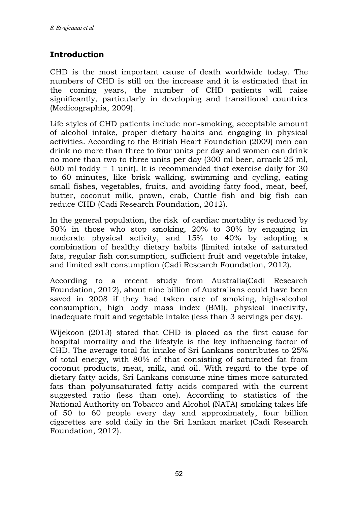# **Introduction**

CHD is the most important cause of death worldwide today. The numbers of CHD is still on the increase and it is estimated that in the coming years, the number of CHD patients will raise significantly, particularly in developing and transitional countries (Medicographia, 2009).

Life styles of CHD patients include non-smoking, acceptable amount of alcohol intake, proper dietary habits and engaging in physical activities. According to the British Heart Foundation (2009) men can drink no more than three to four units per day and women can drink no more than two to three units per day (300 ml beer, arrack 25 ml, 600 ml toddy = 1 unit). It is recommended that exercise daily for 30 to 60 minutes, like brisk walking, swimming and cycling, eating small fishes, vegetables, fruits, and avoiding fatty food, meat, beef, butter, coconut milk, prawn, crab, Cuttle fish and big fish can reduce CHD (Cadi Research Foundation, 2012).

In the general population, the risk of cardiac mortality is reduced by 50% in those who stop smoking, 20% to 30% by engaging in moderate physical activity, and 15% to 40% by adopting a combination of healthy dietary habits (limited intake of saturated fats, regular fish consumption, sufficient fruit and vegetable intake, and limited salt consumption (Cadi Research Foundation, 2012).

According to a recent study from Australia(Cadi Research Foundation, 2012), about nine billion of Australians could have been saved in 2008 if they had taken care of smoking, high-alcohol consumption, high body mass index (BMI), physical inactivity, inadequate fruit and vegetable intake (less than 3 servings per day).

Wijekoon (2013) stated that CHD is placed as the first cause for hospital mortality and the lifestyle is the key influencing factor of CHD. The average total fat intake of Sri Lankans contributes to 25% of total energy, with 80% of that consisting of saturated fat from coconut products, meat, milk, and oil. With regard to the type of dietary fatty acids, Sri Lankans consume nine times more saturated fats than polyunsaturated fatty acids compared with the current suggested ratio (less than one). According to statistics of the National Authority on Tobacco and Alcohol (NATA) smoking takes life of 50 to 60 people every day and approximately, four billion cigarettes are sold daily in the Sri Lankan market (Cadi Research Foundation, 2012).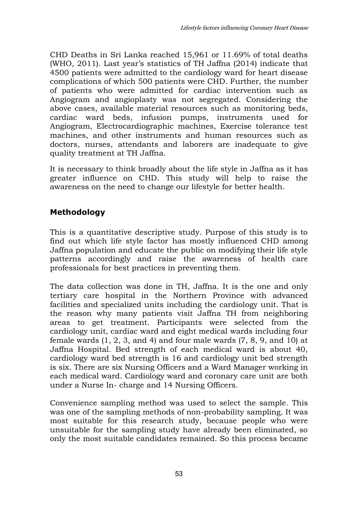CHD Deaths in Sri Lanka reached 15,961 or 11.69% of total deaths (WHO, 2011). Last year's statistics of TH Jaffna (2014) indicate that 4500 patients were admitted to the cardiology ward for heart disease complications of which 500 patients were CHD. Further, the number of patients who were admitted for cardiac intervention such as Angiogram and angioplasty was not segregated. Considering the above cases, available material resources such as monitoring beds, cardiac ward beds, infusion pumps, instruments used for Angiogram, Electrocardiographic machines, Exercise tolerance test machines, and other instruments and human resources such as doctors, nurses, attendants and laborers are inadequate to give quality treatment at TH Jaffna.

It is necessary to think broadly about the life style in Jaffna as it has greater influence on CHD. This study will help to raise the awareness on the need to change our lifestyle for better health.

# **Methodology**

This is a quantitative descriptive study. Purpose of this study is to find out which life style factor has mostly influenced CHD among Jaffna population and educate the public on modifying their life style patterns accordingly and raise the awareness of health care professionals for best practices in preventing them.

The data collection was done in TH, Jaffna. It is the one and only tertiary care hospital in the Northern Province with advanced facilities and specialized units including the cardiology unit. That is the reason why many patients visit Jaffna TH from neighboring areas to get treatment. Participants were selected from the cardiology unit, cardiac ward and eight medical wards including four female wards  $(1, 2, 3, \text{ and } 4)$  and four male wards  $(7, 8, 9, \text{ and } 10)$  at Jaffna Hospital. Bed strength of each medical ward is about 40, cardiology ward bed strength is 16 and cardiology unit bed strength is six. There are six Nursing Officers and a Ward Manager working in each medical ward. Cardiology ward and coronary care unit are both under a Nurse In- charge and 14 Nursing Officers.

Convenience sampling method was used to select the sample. This was one of the sampling methods of non-probability sampling. It was most suitable for this research study, because people who were unsuitable for the sampling study have already been eliminated, so only the most suitable candidates remained. So this process became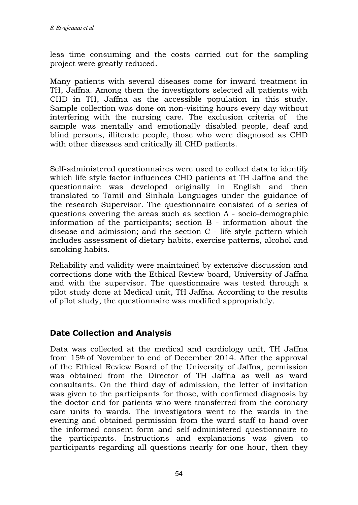less time consuming and the costs carried out for the sampling project were greatly reduced.

Many patients with several diseases come for inward treatment in TH, Jaffna. Among them the investigators selected all patients with CHD in TH, Jaffna as the accessible population in this study. Sample collection was done on non-visiting hours every day without interfering with the nursing care. The exclusion criteria of the sample was mentally and emotionally disabled people, deaf and blind persons, illiterate people, those who were diagnosed as CHD with other diseases and critically ill CHD patients.

Self-administered questionnaires were used to collect data to identify which life style factor influences CHD patients at TH Jaffna and the questionnaire was developed originally in English and then translated to Tamil and Sinhala Languages under the guidance of the research Supervisor. The questionnaire consisted of a series of questions covering the areas such as section A - socio-demographic information of the participants; section B - information about the disease and admission; and the section C - life style pattern which includes assessment of dietary habits, exercise patterns, alcohol and smoking habits.

Reliability and validity were maintained by extensive discussion and corrections done with the Ethical Review board, University of Jaffna and with the supervisor. The questionnaire was tested through a pilot study done at Medical unit, TH Jaffna. According to the results of pilot study, the questionnaire was modified appropriately.

#### **Date Collection and Analysis**

Data was collected at the medical and cardiology unit, TH Jaffna from 15th of November to end of December 2014. After the approval of the Ethical Review Board of the University of Jaffna, permission was obtained from the Director of TH Jaffna as well as ward consultants. On the third day of admission, the letter of invitation was given to the participants for those, with confirmed diagnosis by the doctor and for patients who were transferred from the coronary care units to wards. The investigators went to the wards in the evening and obtained permission from the ward staff to hand over the informed consent form and self-administered questionnaire to the participants. Instructions and explanations was given to participants regarding all questions nearly for one hour, then they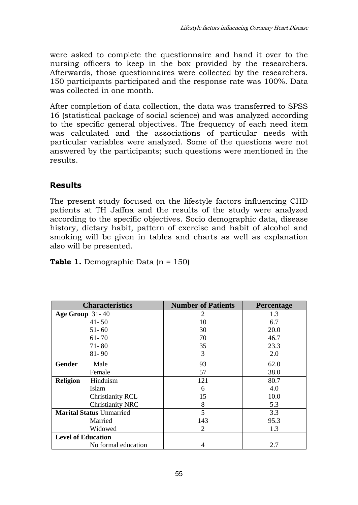were asked to complete the questionnaire and hand it over to the nursing officers to keep in the box provided by the researchers. Afterwards, those questionnaires were collected by the researchers. 150 participants participated and the response rate was 100%. Data was collected in one month.

After completion of data collection, the data was transferred to SPSS 16 (statistical package of social science) and was analyzed according to the specific general objectives. The frequency of each need item was calculated and the associations of particular needs with particular variables were analyzed. Some of the questions were not answered by the participants; such questions were mentioned in the results.

# **Results**

The present study focused on the lifestyle factors influencing CHD patients at TH Jaffna and the results of the study were analyzed according to the specific objectives. Socio demographic data, disease history, dietary habit, pattern of exercise and habit of alcohol and smoking will be given in tables and charts as well as explanation also will be presented.

|  |  | <b>Table 1.</b> Demographic Data $(n = 150)$ |  |
|--|--|----------------------------------------------|--|
|--|--|----------------------------------------------|--|

| <b>Characteristics</b>          |                     | <b>Number of Patients</b> | Percentage |
|---------------------------------|---------------------|---------------------------|------------|
| Age Group $31-40$               |                     | 2                         | 1.3        |
|                                 | $41 - 50$           | 10                        | 6.7        |
|                                 | $51 - 60$           | 30                        | 20.0       |
|                                 | $61 - 70$           | 70                        | 46.7       |
|                                 | 71-80               | 35                        | 23.3       |
|                                 | $81 - 90$           | 3                         | 2.0        |
| <b>Gender</b>                   | Male                | 93                        | 62.0       |
|                                 | Female              | 57                        | 38.0       |
| <b>Religion</b>                 | Hinduism            | 121                       | 80.7       |
|                                 | Islam               | 6                         | 4.0        |
|                                 | Christianity RCL    | 15                        | 10.0       |
|                                 | Christianity NRC    | 8                         | 5.3        |
| <b>Marital Status Unmarried</b> |                     | 5                         | 3.3        |
|                                 | Married             | 143                       | 95.3       |
|                                 | Widowed             | $\mathfrak{D}$            | 1.3        |
| <b>Level of Education</b>       |                     |                           |            |
|                                 | No formal education | 4                         | 2.7        |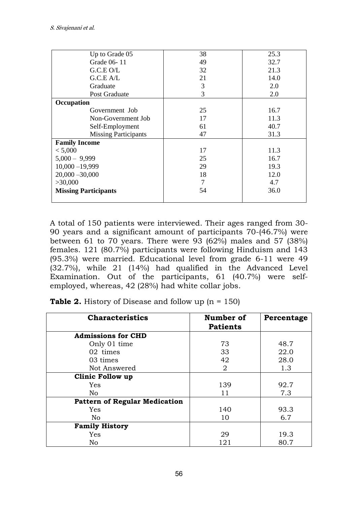| Up to Grade 05              | 38 | 25.3 |
|-----------------------------|----|------|
| Grade 06-11                 | 49 | 32.7 |
| G.C.E.O/L                   | 32 | 21.3 |
| G.C.E A/L                   | 21 | 14.0 |
| Graduate                    | 3  | 2.0  |
| Post Graduate               | 3  | 2.0  |
| Occupation                  |    |      |
| Government Job              | 25 | 16.7 |
| Non-Government Job          | 17 | 11.3 |
| Self-Employment             | 61 | 40.7 |
| <b>Missing Participants</b> | 47 | 31.3 |
| <b>Family Income</b>        |    |      |
| < 5,000                     | 17 | 11.3 |
| $5,000 - 9,999$             | 25 | 16.7 |
| $10,000 - 19,999$           | 29 | 19.3 |
| $20,000 - 30,000$           | 18 | 12.0 |
| >30,000                     | 7  | 4.7  |
| <b>Missing Participants</b> | 54 | 36.0 |
|                             |    |      |

A total of 150 patients were interviewed. Their ages ranged from 30- 90 years and a significant amount of participants 70-(46.7%) were between 61 to 70 years. There were 93 (62%) males and 57 (38%) females. 121 (80.7%) participants were following Hinduism and 143 (95.3%) were married. Educational level from grade 6-11 were 49 (32.7%), while 21 (14%) had qualified in the Advanced Level Examination. Out of the participants, 61 (40.7%) were selfemployed, whereas, 42 (28%) had white collar jobs.

**Table 2.** History of Disease and follow up (n = 150)

| <b>Characteristics</b>               | Number of       | Percentage |
|--------------------------------------|-----------------|------------|
|                                      | <b>Patients</b> |            |
| <b>Admissions for CHD</b>            |                 |            |
| Only 01 time                         | 73              | 48.7       |
| 02 times                             | 33              | 22.0       |
| 03 times                             | 42              | 28.0       |
| Not Answered                         | 2               | 1.3        |
| Clinic Follow up                     |                 |            |
| Yes                                  | 139             | 92.7       |
| N <sub>0</sub>                       | 11              | 7.3        |
| <b>Pattern of Regular Medication</b> |                 |            |
| Yes                                  | 140             | 93.3       |
| N <sub>0</sub>                       | 10              | 6.7        |
| <b>Family History</b>                |                 |            |
| Yes                                  | 29              | 19.3       |
| No                                   | 121             | 80.7       |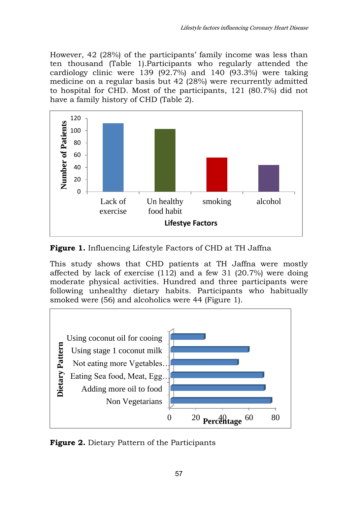However, 42 (28%) of the participants' family income was less than ten thousand (Table 1).Participants who regularly attended the cardiology clinic were 139 (92.7%) and 140  $(93.3\%)$  were taking medicine on a regular basis but 42 (28%) were recurrently admitted to hospital for CHD. Most of the participants, 121 (80.7%) did not have a family history of CHD (Table 2).



**Figure 1.** Influencing Lifestyle Factors of CHD at TH Jaffna

This study shows that CHD patients at TH Jaffna were mostly affected by lack of exercise (112) and a few 31 (20.7%) were doing moderate physical activities. Hundred and three participants were following unhealthy dietary habits. Participants who habitually smoked were (56) and alcoholics were 44 (Figure 1).



**Figure 2.** Dietary Pattern of the Participants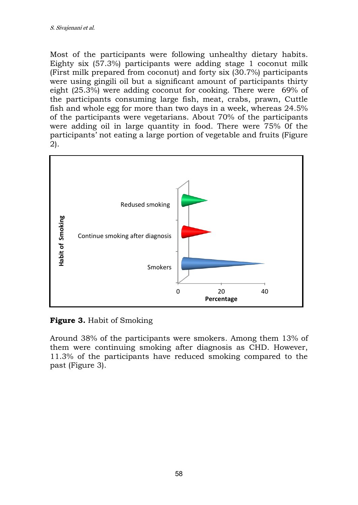Most of the participants were following unhealthy dietary habits. Eighty six (57.3%) participants were adding stage 1 coconut milk (First milk prepared from coconut) and forty six (30.7%) participants were using gingili oil but a significant amount of participants thirty eight (25.3%) were adding coconut for cooking. There were 69% of the participants consuming large fish, meat, crabs, prawn, Cuttle fish and whole egg for more than two days in a week, whereas 24.5% of the participants were vegetarians. About 70% of the participants were adding oil in large quantity in food. There were 75% 0f the participants' not eating a large portion of vegetable and fruits (Figure 2).



# **Figure 3.** Habit of Smoking

Around 38% of the participants were smokers. Among them 13% of them were continuing smoking after diagnosis as CHD. However, 11.3% of the participants have reduced smoking compared to the past (Figure 3).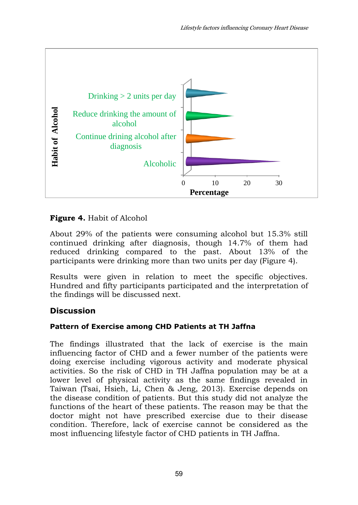

## **Figure 4.** Habit of Alcohol

About 29% of the patients were consuming alcohol but 15.3% still continued drinking after diagnosis, though 14.7% of them had reduced drinking compared to the past. About 13% of the participants were drinking more than two units per day (Figure 4).

Results were given in relation to meet the specific objectives. Hundred and fifty participants participated and the interpretation of the findings will be discussed next.

# **Discussion**

#### **Pattern of Exercise among CHD Patients at TH Jaffna**

The findings illustrated that the lack of exercise is the main influencing factor of CHD and a fewer number of the patients were doing exercise including vigorous activity and moderate physical activities. So the risk of CHD in TH Jaffna population may be at a lower level of physical activity as the same findings revealed in Taiwan (Tsai, Hsieh, Li, Chen & Jeng, 2013). Exercise depends on the disease condition of patients. But this study did not analyze the functions of the heart of these patients. The reason may be that the doctor might not have prescribed exercise due to their disease condition. Therefore, lack of exercise cannot be considered as the most influencing lifestyle factor of CHD patients in TH Jaffna.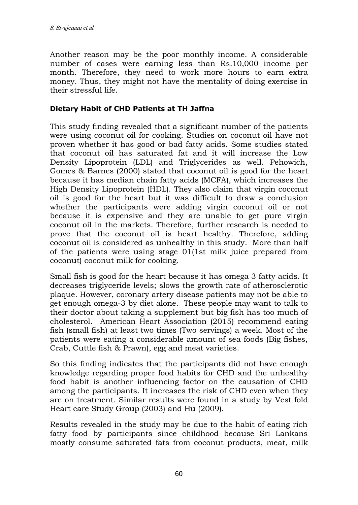Another reason may be the poor monthly income. A considerable number of cases were earning less than Rs.10,000 income per month. Therefore, they need to work more hours to earn extra money. Thus, they might not have the mentality of doing exercise in their stressful life.

## **Dietary Habit of CHD Patients at TH Jaffna**

This study finding revealed that a significant number of the patients were using coconut oil for cooking. Studies on coconut oil have not proven whether it has good or bad fatty acids. Some studies stated that coconut oil has saturated fat and it will increase the Low Density Lipoprotein (LDL) and Triglycerides as well. Pehowich, Gomes & Barnes (2000) stated that coconut oil is good for the heart because it has median chain fatty acids (MCFA), which increases the High Density Lipoprotein (HDL). They also claim that virgin coconut oil is good for the heart but it was difficult to draw a conclusion whether the participants were adding virgin coconut oil or not because it is expensive and they are unable to get pure virgin coconut oil in the markets. Therefore, further research is needed to prove that the coconut oil is heart healthy. Therefore, adding coconut oil is considered as unhealthy in this study. More than half of the patients were using stage 01(1st milk juice prepared from coconut) coconut milk for cooking.

Small fish is good for the heart because it has omega 3 fatty acids. It decreases triglyceride levels; slows the growth rate of atherosclerotic plaque. However, coronary artery disease patients may not be able to get enough omega-3 by diet alone. These people may want to talk to their doctor about taking a supplement but big fish has too much of cholesterol. American Heart Association (2015) recommend eating fish (small fish) at least two times (Two servings) a week. Most of the patients were eating a considerable amount of sea foods (Big fishes, Crab, Cuttle fish & Prawn), egg and meat varieties.

So this finding indicates that the participants did not have enough knowledge regarding proper food habits for CHD and the unhealthy food habit is another influencing factor on the causation of CHD among the participants. It increases the risk of CHD even when they are on treatment. Similar results were found in a study by Vest fold Heart care Study Group (2003) and Hu (2009).

Results revealed in the study may be due to the habit of eating rich fatty food by participants since childhood because Sri Lankans mostly consume saturated fats from coconut products, meat, milk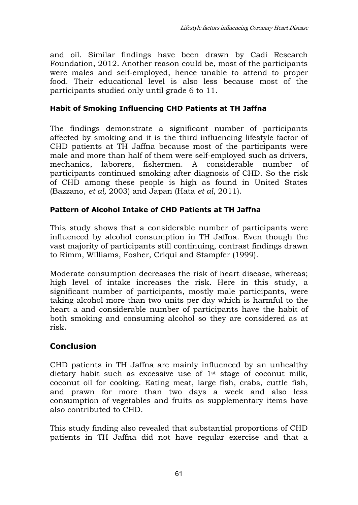and oil. Similar findings have been drawn by Cadi Research Foundation, 2012. Another reason could be, most of the participants were males and self-employed, hence unable to attend to proper food. Their educational level is also less because most of the participants studied only until grade 6 to 11.

### **Habit of Smoking Influencing CHD Patients at TH Jaffna**

The findings demonstrate a significant number of participants affected by smoking and it is the third influencing lifestyle factor of CHD patients at TH Jaffna because most of the participants were male and more than half of them were self-employed such as drivers, mechanics, laborers, fishermen. A considerable number of participants continued smoking after diagnosis of CHD. So the risk of CHD among these people is high as found in United States [\(Bazzano,](http://www.ncbi.nlm.nih.gov/pubmed?term=Bazzano%20LA%5BAuthor%5D&cauthor=true&cauthor_uid=12779299) *et al,* 2003) and Japan (Hata *et al*, 2011).

### **Pattern of Alcohol Intake of CHD Patients at TH Jaffna**

This study shows that a considerable number of participants were influenced by alcohol consumption in TH Jaffna. Even though the vast majority of participants still continuing, contrast findings drawn to Rimm, Williams, Fosher, Criqui and Stampfer (1999).

Moderate consumption decreases the risk of heart disease, whereas; high level of intake increases the risk. Here in this study, a significant number of participants, mostly male participants, were taking alcohol more than two units per day which is harmful to the heart a and considerable number of participants have the habit of both smoking and consuming alcohol so they are considered as at risk.

## **Conclusion**

CHD patients in TH Jaffna are mainly influenced by an unhealthy dietary habit such as excessive use of  $1<sup>st</sup>$  stage of coconut milk, coconut oil for cooking. Eating meat, large fish, crabs, cuttle fish, and prawn for more than two days a week and also less consumption of vegetables and fruits as supplementary items have also contributed to CHD.

This study finding also revealed that substantial proportions of CHD patients in TH Jaffna did not have regular exercise and that a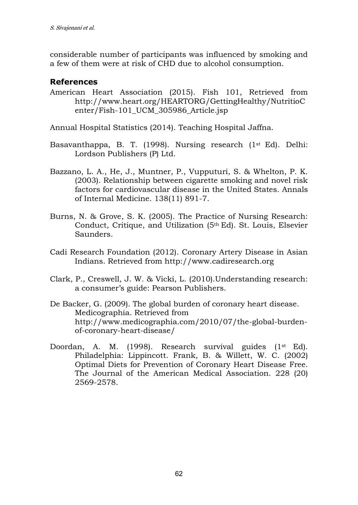considerable number of participants was influenced by smoking and a few of them were at risk of CHD due to alcohol consumption.

## **References**

American Heart Association (2015). Fish 101, Retrieved from http://www.heart.org/HEARTORG/GettingHealthy/NutritioC enter/Fish-101\_UCM\_305986\_Article.jsp

Annual Hospital Statistics (2014). Teaching Hospital Jaffna.

- Basavanthappa, B. T. (1998). Nursing research (1<sup>st</sup> Ed). Delhi: Lordson Publishers (P) Ltd.
- [Bazzano, L. A.](http://www.ncbi.nlm.nih.gov/pubmed?term=Bazzano%20LA%5BAuthor%5D&cauthor=true&cauthor_uid=12779299), [He, J.](http://www.ncbi.nlm.nih.gov/pubmed?term=He%20J%5BAuthor%5D&cauthor=true&cauthor_uid=12779299), [Muntner, P.](http://www.ncbi.nlm.nih.gov/pubmed?term=Muntner%20P%5BAuthor%5D&cauthor=true&cauthor_uid=12779299), [Vupputuri, S.](http://www.ncbi.nlm.nih.gov/pubmed?term=Vupputuri%20S%5BAuthor%5D&cauthor=true&cauthor_uid=12779299) & [Whelton, P. K.](http://www.ncbi.nlm.nih.gov/pubmed?term=Whelton%20PK%5BAuthor%5D&cauthor=true&cauthor_uid=12779299) (2003). Relationship between cigarette smoking and novel risk factors for cardiovascular disease in the United States. Annals of Internal Medicine. 138(11) 891-7.
- Burns, N. & Grove, S. K. (2005). The Practice of Nursing Research: Conduct, Critique, and Utilization (5th Ed). St. Louis, Elsevier Saunders.
- Cadi Research Foundation (2012). Coronary Artery Disease in Asian Indians. Retrieved from http://www.cadiresearch.org
- Clark, P., Creswell, J. W. & Vicki, L. (2010).Understanding research: a consumer's guide: Pearson Publishers.
- De Backer, G. (2009). The global burden of coronary heart disease. Medicographia. Retrieved from [http://www.medicographia.com/2010/07/the-global-burden](http://www.medicographia.com/2010/07/the-global-burden-of-coronary-heart-disease/)[of-coronary-heart-disease/](http://www.medicographia.com/2010/07/the-global-burden-of-coronary-heart-disease/)
- Doordan, A. M. (1998). Research survival guides (1<sup>st</sup> Ed). Philadelphia: Lippincott. Frank, B. & Willett, W. C. (2002) Optimal Diets for Prevention of Coronary Heart Disease Free. The Journal of the American Medical Association. 228 (20) 2569-2578.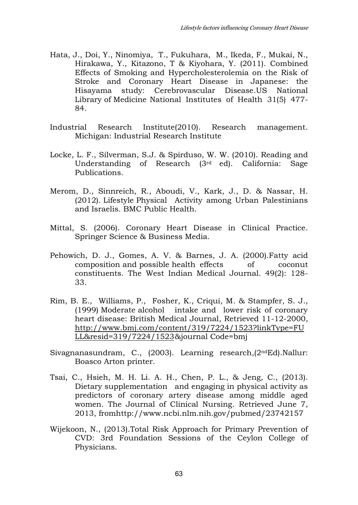- [Hata, J.](http://www.ncbi.nlm.nih.gov/pubmed?term=Hata%20J%5BAuthor%5D&cauthor=true&cauthor_uid=21358199), [Doi, Y.](http://www.ncbi.nlm.nih.gov/pubmed?term=Doi%20Y%5BAuthor%5D&cauthor=true&cauthor_uid=21358199), [Ninomiya, T.](http://www.ncbi.nlm.nih.gov/pubmed?term=Ninomiya%20T%5BAuthor%5D&cauthor=true&cauthor_uid=21358199), [Fukuhara, M.](http://www.ncbi.nlm.nih.gov/pubmed?term=Fukuhara%20M%5BAuthor%5D&cauthor=true&cauthor_uid=21358199), [Ikeda, F.](http://www.ncbi.nlm.nih.gov/pubmed?term=Ikeda%20F%5BAuthor%5D&cauthor=true&cauthor_uid=21358199), [Mukai, N.](http://www.ncbi.nlm.nih.gov/pubmed?term=Mukai%20N%5BAuthor%5D&cauthor=true&cauthor_uid=21358199), [Hirakawa, Y.](http://www.ncbi.nlm.nih.gov/pubmed?term=Hirakawa%20Y%5BAuthor%5D&cauthor=true&cauthor_uid=21358199), [Kitazono, T](http://www.ncbi.nlm.nih.gov/pubmed?term=Kitazono%20T%5BAuthor%5D&cauthor=true&cauthor_uid=21358199) & [Kiyohara, Y.](http://www.ncbi.nlm.nih.gov/pubmed?term=Kiyohara%20Y%5BAuthor%5D&cauthor=true&cauthor_uid=21358199) (2011). Combined Effects of Smoking and Hypercholesterolemia on the Risk of Stroke and Coronary Heart Disease in Japanese: the Hisayama study: Cerebrovascular Disease[.US National](http://www.nlm.nih.gov/)  [Library of Medicine](http://www.nlm.nih.gov/) [National Institutes of Health](http://www.nih.gov/) 31(5) 477- 84.
- Industrial Research Institute(2010). Research management. Michigan: Industrial Research Institute
- Locke, L. F., Silverman, S.J. & Spirduso, W. W. (2010). Reading and Understanding of Research (3rd ed). California: Sage Publications.
- [Merom, D.](http://www.ncbi.nlm.nih.gov/pubmed?term=Merom%20D%5BAuthor%5D&cauthor=true&cauthor_uid=22289260), [Sinnreich, R.](http://www.ncbi.nlm.nih.gov/pubmed?term=Sinnreich%20R%5BAuthor%5D&cauthor=true&cauthor_uid=22289260), [Aboudi, V.](http://www.ncbi.nlm.nih.gov/pubmed?term=Aboudi%20V%5BAuthor%5D&cauthor=true&cauthor_uid=22289260), [Kark, J., D.](http://www.ncbi.nlm.nih.gov/pubmed?term=Kark%20JD%5BAuthor%5D&cauthor=true&cauthor_uid=22289260) & [Nassar, H.](http://www.ncbi.nlm.nih.gov/pubmed?term=Nassar%20H%5BAuthor%5D&cauthor=true&cauthor_uid=22289260) (2012). Lifestyle Physical Activity among Urban Palestinians and Israelis. BMC Public Health.
- Mittal, S. (2006). Coronary Heart Disease in Clinical Practice*.* Springer Science & Business Media.
- Pehowich, D. J., Gomes, A. V. & Barnes, J. A. (2000).Fatty acid composition and possible health effects of coconut constituents. The West Indian Medical Journal. 49(2): 128- 33.
- Rim, B. E., Williams, P., Fosher, K., Criqui, M. & Stampfer, S. J., (1999) Moderate alcohol intake and lower risk of coronary heart disease: British Medical Journal, Retrieved 11-12-2000, [http://www.bmj.com/content/319/7224/1523?linkType=FU](http://www.bmj.com/content/319/7224/1523?linkType=FULL&resid=319/7224/1523) [LL&resid=319/7224/1523 &](http://www.bmj.com/content/319/7224/1523?linkType=FULL&resid=319/7224/1523)journal Code=bmj
- Sivagnanasundram, C., (2003). Learning research,(2ndEd).Nallur: Boasco Arton printer.
- [Tsai, C.,](http://www.ncbi.nlm.nih.gov/pubmed?term=Tsai%20CC%5BAuthor%5D&cauthor=true&cauthor_uid=23742157) [Hsieh, M. H.](http://www.ncbi.nlm.nih.gov/pubmed?term=Hsieh%20MH%5BAuthor%5D&cauthor=true&cauthor_uid=23742157) [Li. A. H.](http://www.ncbi.nlm.nih.gov/pubmed?term=Li%20AH%5BAuthor%5D&cauthor=true&cauthor_uid=23742157), [Chen, P. L.](http://www.ncbi.nlm.nih.gov/pubmed?term=Chen%20PL%5BAuthor%5D&cauthor=true&cauthor_uid=23742157), & [Jeng, C.](http://www.ncbi.nlm.nih.gov/pubmed?term=Jeng%20C%5BAuthor%5D&cauthor=true&cauthor_uid=23742157), (2013). Dietary supplementation and engaging in physical activity as predictors of coronary artery disease among middle aged women. The Journal of Clinical Nursing. Retrieved June 7, 2013, fromhttp://www.ncbi.nlm.nih.gov/pubmed/23742157
- Wijekoon, N., (2013).Total Risk Approach for Primary Prevention of CVD: 3rd Foundation Sessions of the Ceylon College of Physicians.